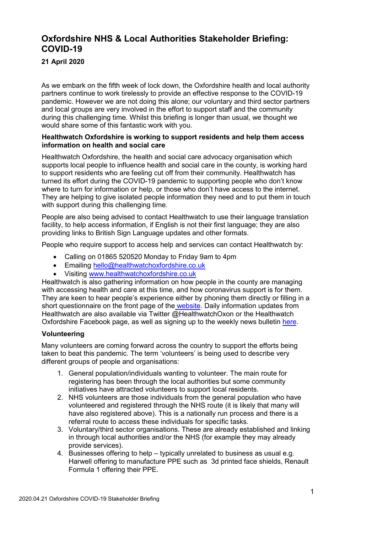# **Oxfordshire NHS & Local Authorities Stakeholder Briefing: COVID-19**

**21 April 2020**

As we embark on the fifth week of lock down, the Oxfordshire health and local authority partners continue to work tirelessly to provide an effective response to the COVID-19 pandemic. However we are not doing this alone; our voluntary and third sector partners and local groups are very involved in the effort to support staff and the community during this challenging time. Whilst this briefing is longer than usual, we thought we would share some of this fantastic work with you.

## **Healthwatch Oxfordshire is working to support residents and help them access information on health and social care**

Healthwatch Oxfordshire, the health and social care advocacy organisation which supports local people to influence health and social care in the county, is working hard to support residents who are feeling cut off from their community. Healthwatch has turned its effort during the COVID-19 pandemic to supporting people who don't know where to turn for information or help, or those who don't have access to the internet. They are helping to give isolated people information they need and to put them in touch with support during this challenging time.

People are also being advised to contact Healthwatch to use their language translation facility, to help access information, if English is not their first language; they are also providing links to British Sign Language updates and other formats.

People who require support to access help and services can contact Healthwatch by:

- Calling on 01865 520520 Monday to Friday 9am to 4pm
- Emailing [hello@healthwatchoxfordshire.co.uk](mailto:hello@healthwatchoxfordshire.co.uk)
- Visiting [www.healthwatchoxfordshire.co.uk](http://www.healthwatchoxfordshire.co.uk/)

Healthwatch is also gathering information on how people in the county are managing with accessing health and care at this time, and how coronavirus support is for them. They are keen to hear people's experience either by phoning them directly or filling in a short questionnaire on the front page of the [website.](https://healthwatchoxfordshire.co.uk/) Daily information updates from Healthwatch are also available via Twitter @HealthwatchOxon or the Healthwatch Oxfordshire Facebook page, as well as signing up to the weekly news bulletin [here.](https://healthwatchoxfordshire.co.uk/)

## **Volunteering**

Many volunteers are coming forward across the country to support the efforts being taken to beat this pandemic. The term 'volunteers' is being used to describe very different groups of people and organisations:

- 1. General population/individuals wanting to volunteer. The main route for registering has been through the local authorities but some community initiatives have attracted volunteers to support local residents.
- 2. NHS volunteers are those individuals from the general population who have volunteered and registered through the NHS route (it is likely that many will have also registered above). This is a nationally run process and there is a referral route to access these individuals for specific tasks.
- 3. Voluntary/third sector organisations. These are already established and linking in through local authorities and/or the NHS (for example they may already provide services).
- 4. Businesses offering to help typically unrelated to business as usual e.g. Harwell offering to manufacture PPE such as 3d printed face shields, Renault Formula 1 offering their PPE.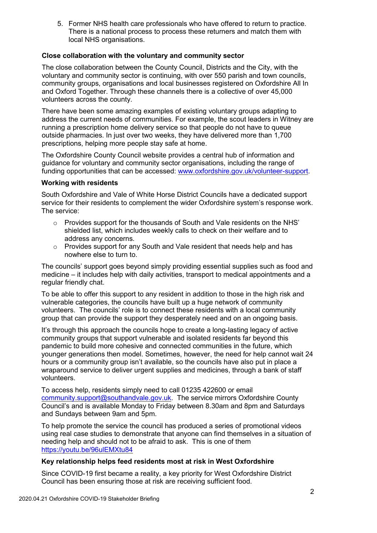5. Former NHS health care professionals who have offered to return to practice. There is a national process to process these returners and match them with local NHS organisations.

## **Close collaboration with the voluntary and community sector**

The close collaboration between the County Council, Districts and the City, with the voluntary and community sector is continuing, with over 550 parish and town councils, community groups, organisations and local businesses registered on Oxfordshire All In and Oxford Together. Through these channels there is a collective of over 45,000 volunteers across the county.

There have been some amazing examples of existing voluntary groups adapting to address the current needs of communities. For example, the scout leaders in Witney are running a prescription home delivery service so that people do not have to queue outside pharmacies. In just over two weeks, they have delivered more than 1,700 prescriptions, helping more people stay safe at home.

The Oxfordshire County Council website provides a central hub of information and guidance for voluntary and community sector organisations, including the range of funding opportunities that can be accessed: [www.oxfordshire.gov.uk/volunteer-support.](http://www.oxfordshire.gov.uk/volunteer-support)

### **Working with residents**

South Oxfordshire and Vale of White Horse District Councils have a dedicated support service for their residents to complement the wider Oxfordshire system's response work. The service:

- $\circ$  Provides support for the thousands of South and Vale residents on the NHS' shielded list, which includes weekly calls to check on their welfare and to address any concerns.
- o Provides support for any South and Vale resident that needs help and has nowhere else to turn to.

The councils' support goes beyond simply providing essential supplies such as food and medicine – it includes help with daily activities, transport to medical appointments and a regular friendly chat.

To be able to offer this support to any resident in addition to those in the high risk and vulnerable categories, the councils have built up a huge network of community volunteers. The councils' role is to connect these residents with a local community group that can provide the support they desperately need and on an ongoing basis.

It's through this approach the councils hope to create a long-lasting legacy of active community groups that support vulnerable and isolated residents far beyond this pandemic to build more cohesive and connected communities in the future, which younger generations then model. Sometimes, however, the need for help cannot wait 24 hours or a community group isn't available, so the councils have also put in place a wraparound service to deliver urgent supplies and medicines, through a bank of staff volunteers.

To access help, residents simply need to call 01235 422600 or email [community.support@southandvale.gov.uk.](mailto:community.support@southandvale.gov.uk) The service mirrors Oxfordshire County Council's and is available Monday to Friday between 8.30am and 8pm and Saturdays and Sundays between 9am and 5pm.

To help promote the service the council has produced a series of promotional videos using real case studies to demonstrate that anyone can find themselves in a situation of needing help and should not to be afraid to ask. This is one of them <https://youtu.be/96ulEMXtu84>

## **Key relationship helps feed residents most at risk in West Oxfordshire**

Since COVID-19 first became a reality, a key priority for West Oxfordshire District Council has been ensuring those at risk are receiving sufficient food.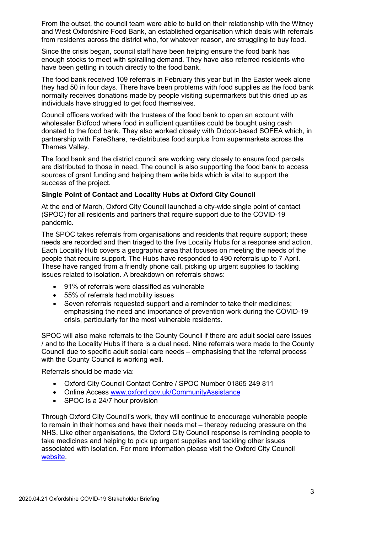From the outset, the council team were able to build on their relationship with the Witney and West Oxfordshire Food Bank, an established organisation which deals with referrals from residents across the district who, for whatever reason, are struggling to buy food.

Since the crisis began, council staff have been helping ensure the food bank has enough stocks to meet with spiralling demand. They have also referred residents who have been getting in touch directly to the food bank.

The food bank received 109 referrals in February this year but in the Easter week alone they had 50 in four days. There have been problems with food supplies as the food bank normally receives donations made by people visiting supermarkets but this dried up as individuals have struggled to get food themselves.

Council officers worked with the trustees of the food bank to open an account with wholesaler Bidfood where food in sufficient quantities could be bought using cash donated to the food bank. They also worked closely with Didcot-based SOFEA which, in partnership with FareShare, re-distributes food surplus from supermarkets across the Thames Valley.

The food bank and the district council are working very closely to ensure food parcels are distributed to those in need. The council is also supporting the food bank to access sources of grant funding and helping them write bids which is vital to support the success of the project.

## **Single Point of Contact and Locality Hubs at Oxford City Council**

At the end of March, Oxford City Council launched a city-wide single point of contact (SPOC) for all residents and partners that require support due to the COVID-19 pandemic.

The SPOC takes referrals from organisations and residents that require support; these needs are recorded and then triaged to the five Locality Hubs for a response and action. Each Locality Hub covers a geographic area that focuses on meeting the needs of the people that require support. The Hubs have responded to 490 referrals up to 7 April. These have ranged from a friendly phone call, picking up urgent supplies to tackling issues related to isolation. A breakdown on referrals shows:

- 91% of referrals were classified as vulnerable
- 55% of referrals had mobility issues
- Seven referrals requested support and a reminder to take their medicines; emphasising the need and importance of prevention work during the COVID-19 crisis, particularly for the most vulnerable residents.

SPOC will also make referrals to the County Council if there are adult social care issues / and to the Locality Hubs if there is a dual need. Nine referrals were made to the County Council due to specific adult social care needs – emphasising that the referral process with the County Council is working well.

Referrals should be made via:

- Oxford City Council Contact Centre / SPOC Number 01865 249 811
- Online Access [www.oxford.gov.uk/CommunityAssistance](http://www.oxford.gov.uk/CommunityAssistance)
- SPOC is a 24/7 hour provision

Through Oxford City Council's work, they will continue to encourage vulnerable people to remain in their homes and have their needs met – thereby reducing pressure on the NHS. Like other organisations, the Oxford City Council response is reminding people to take medicines and helping to pick up urgent supplies and tackling other issues associated with isolation. For more information please visit the Oxford City Council [website.](https://www.oxford.gov.uk/communityassistance)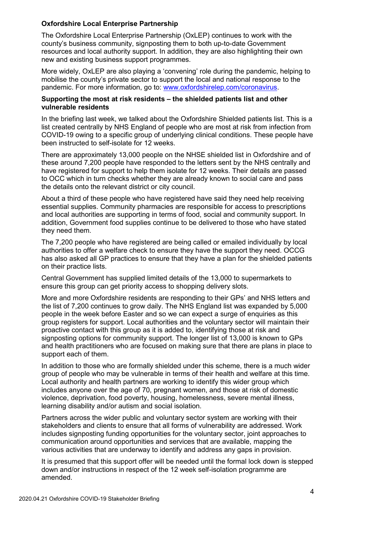# **Oxfordshire Local Enterprise Partnership**

The Oxfordshire Local Enterprise Partnership (OxLEP) continues to work with the county's business community, signposting them to both up-to-date Government resources and local authority support. In addition, they are also highlighting their own new and existing business support programmes.

More widely, OxLEP are also playing a 'convening' role during the pandemic, helping to mobilise the county's private sector to support the local and national response to the pandemic. For more information, go to: [www.oxfordshirelep.com/coronavirus.](http://www.oxfordshirelep.com/coronavirus)

### **Supporting the most at risk residents – the shielded patients list and other vulnerable residents**

In the briefing last week, we talked about the Oxfordshire Shielded patients list. This is a list created centrally by NHS England of people who are most at risk from infection from COVID-19 owing to a specific group of underlying clinical conditions. These people have been instructed to self-isolate for 12 weeks.

There are approximately 13,000 people on the NHSE shielded list in Oxfordshire and of these around 7,200 people have responded to the letters sent by the NHS centrally and have registered for support to help them isolate for 12 weeks. Their details are passed to OCC which in turn checks whether they are already known to social care and pass the details onto the relevant district or city council.

About a third of these people who have registered have said they need help receiving essential supplies. Community pharmacies are responsible for access to prescriptions and local authorities are supporting in terms of food, social and community support. In addition, Government food supplies continue to be delivered to those who have stated they need them.

The 7,200 people who have registered are being called or emailed individually by local authorities to offer a welfare check to ensure they have the support they need. OCCG has also asked all GP practices to ensure that they have a plan for the shielded patients on their practice lists.

Central Government has supplied limited details of the 13,000 to supermarkets to ensure this group can get priority access to shopping delivery slots.

More and more Oxfordshire residents are responding to their GPs' and NHS letters and the list of 7,200 continues to grow daily. The NHS England list was expanded by 5,000 people in the week before Easter and so we can expect a surge of enquiries as this group registers for support. Local authorities and the voluntary sector will maintain their proactive contact with this group as it is added to, identifying those at risk and signposting options for community support. The longer list of 13,000 is known to GPs and health practitioners who are focused on making sure that there are plans in place to support each of them.

In addition to those who are formally shielded under this scheme, there is a much wider group of people who may be vulnerable in terms of their health and welfare at this time. Local authority and health partners are working to identify this wider group which includes anyone over the age of 70, pregnant women, and those at risk of domestic violence, deprivation, food poverty, housing, homelessness, severe mental illness, learning disability and/or autism and social isolation.

Partners across the wider public and voluntary sector system are working with their stakeholders and clients to ensure that all forms of vulnerability are addressed. Work includes signposting funding opportunities for the voluntary sector, joint approaches to communication around opportunities and services that are available, mapping the various activities that are underway to identify and address any gaps in provision.

It is presumed that this support offer will be needed until the formal lock down is stepped down and/or instructions in respect of the 12 week self-isolation programme are amended.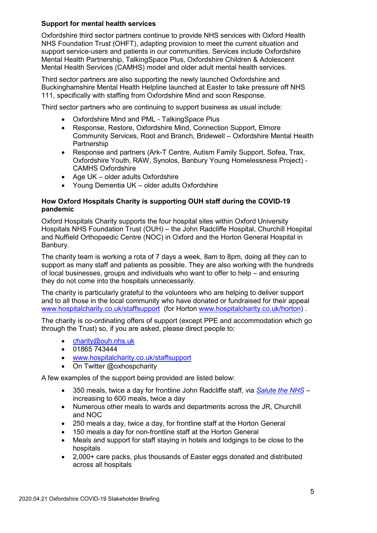# **Support for mental health services**

Oxfordshire third sector partners continue to provide NHS services with Oxford Health NHS Foundation Trust (OHFT), adapting provision to meet the current situation and support service-users and patients in our communities. Services include Oxfordshire Mental Health Partnership, TalkingSpace Plus, Oxfordshire Children & Adolescent Mental Health Services (CAMHS) model and older adult mental health services.

Third sector partners are also supporting the newly launched Oxfordshire and Buckinghamshire Mental Health Helpline launched at Easter to take pressure off NHS 111, specifically with staffing from Oxfordshire Mind and soon Response.

Third sector partners who are continuing to support business as usual include:

- Oxfordshire Mind and PML TalkingSpace Plus
- Response, Restore, Oxfordshire Mind, Connection Support, Elmore Community Services, Root and Branch, Bridewell – Oxfordshire Mental Health Partnership
- Response and partners (Ark-T Centre, Autism Family Support, Sofea, Trax, Oxfordshire Youth, RAW, Synolos, Banbury Young Homelessness Project) - CAMHS Oxfordshire
- Age UK older adults Oxfordshire
- Young Dementia UK older adults Oxfordshire

## **How Oxford Hospitals Charity is supporting OUH staff during the COVID-19 pandemic**

Oxford Hospitals Charity supports the four hospital sites within Oxford University Hospitals NHS Foundation Trust (OUH) – the John Radcliffe Hospital, Churchill Hospital and Nuffield Orthopaedic Centre (NOC) in Oxford and the Horton General Hospital in Banbury.

The charity team is working a rota of 7 days a week, 8am to 8pm, doing all they can to support as many staff and patients as possible. They are also working with the hundreds of local businesses, groups and individuals who want to offer to help – and ensuring they do not come into the hospitals unnecessarily.

The charity is particularly grateful to the volunteers who are helping to deliver support and to all those in the local community who have donated or fundraised for their appeal [www.hospitalcharity.co.uk/staffsupport](http://www.hospitalcharity.co.uk/staffsupport) (for Horton [www.hospitalcharity.co.uk/horton\)](http://www.hospitalcharity.co.uk/horton) .

The charity is co-ordinating offers of support (except PPE and accommodation which go through the Trust) so, if you are asked, please direct people to:

- [charity@ouh.nhs.uk](mailto:charity@ouh.nhs.uk)
- 01865 743444
- [www.hospitalcharity.co.uk/staffsupport](http://www.hospitalcharity.co.uk/staffsupport)
- On Twitter @oxhospcharity

A few examples of the support being provided are listed below:

- 350 meals, twice a day for frontline John Radcliffe staff, via *[Salute the NHS](https://www.salutethenhs.org/)* increasing to 600 meals, twice a day
- Numerous other meals to wards and departments across the JR, Churchill and NOC
- 250 meals a day, twice a day, for frontline staff at the Horton General
- 150 meals a day for non-frontline staff at the Horton General
- Meals and support for staff staying in hotels and lodgings to be close to the hospitals
- 2,000+ care packs, plus thousands of Easter eggs donated and distributed across all hospitals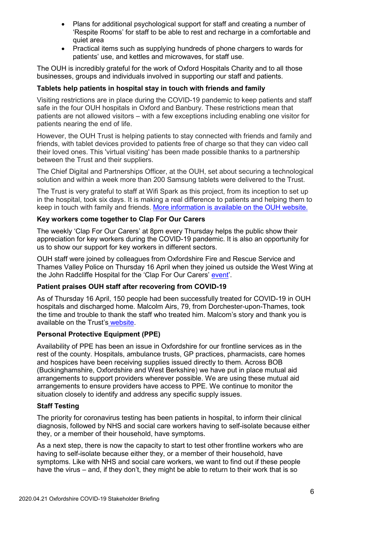- Plans for additional psychological support for staff and creating a number of 'Respite Rooms' for staff to be able to rest and recharge in a comfortable and quiet area
- Practical items such as supplying hundreds of phone chargers to wards for patients' use, and kettles and microwaves, for staff use.

The OUH is incredibly grateful for the work of Oxford Hospitals Charity and to all those businesses, groups and individuals involved in supporting our staff and patients.

# **Tablets help patients in hospital stay in touch with friends and family**

Visiting restrictions are in place during the COVID-19 pandemic to keep patients and staff safe in the four OUH hospitals in Oxford and Banbury. These restrictions mean that patients are not allowed visitors – with a few exceptions including enabling one visitor for patients nearing the end of life.

However, the OUH Trust is helping patients to stay connected with friends and family and friends, with tablet devices provided to patients free of charge so that they can video call their loved ones. This 'virtual visiting' has been made possible thanks to a partnership between the Trust and their suppliers.

The Chief Digital and Partnerships Officer, at the OUH, set about securing a technological solution and within a week more than 200 Samsung tablets were delivered to the Trust.

The Trust is very grateful to staff at Wifi Spark as this project, from its inception to set up in the hospital, took six days. It is making a real difference to patients and helping them to keep in touch with family and friends. [More information is available on the OUH website.](https://www.ouh.nhs.uk/news/article.aspx?id=1228)

# **Key workers come together to Clap For Our Carers**

The weekly 'Clap For Our Carers' at 8pm every Thursday helps the public show their appreciation for key workers during the COVID-19 pandemic. It is also an opportunity for us to show our support for key workers in different sectors.

OUH staff were joined by colleagues from Oxfordshire Fire and Rescue Service and Thames Valley Police on Thursday 16 April when they joined us outside the West Wing at the John Radcliffe Hospital for the 'Clap For Our Carers' [event'](https://twitter.com/OUHospitals/status/1250884278113755144).

## **Patient praises OUH staff after recovering from COVID-19**

As of Thursday 16 April, 150 people had been successfully treated for COVID-19 in OUH hospitals and discharged home. Malcolm Airs, 79, from Dorchester-upon-Thames, took the time and trouble to thank the staff who treated him. Malcom's story and thank you is available on the Trust's [website.](https://www.ouh.nhs.uk/news/article.aspx?id=1230)

## **Personal Protective Equipment (PPE)**

Availability of PPE has been an issue in Oxfordshire for our frontline services as in the rest of the county. Hospitals, ambulance trusts, GP practices, pharmacists, care homes and hospices have been receiving supplies issued directly to them. Across BOB (Buckinghamshire, Oxfordshire and West Berkshire) we have put in place mutual aid arrangements to support providers wherever possible. We are using these mutual aid arrangements to ensure providers have access to PPE. We continue to monitor the situation closely to identify and address any specific supply issues.

## **Staff Testing**

The priority for coronavirus testing has been patients in hospital, to inform their clinical diagnosis, followed by NHS and social care workers having to self-isolate because either they, or a member of their household, have symptoms.

As a next step, there is now the capacity to start to test other frontline workers who are having to self-isolate because either they, or a member of their household, have symptoms. Like with NHS and social care workers, we want to find out if these people have the virus – and, if they don't, they might be able to return to their work that is so